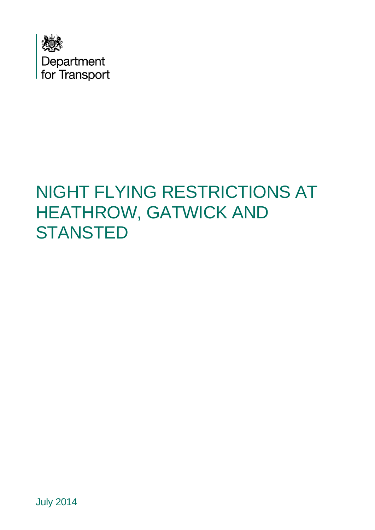

# NIGHT FLYING RESTRICTIONS AT HEATHROW, GATWICK AND **STANSTED**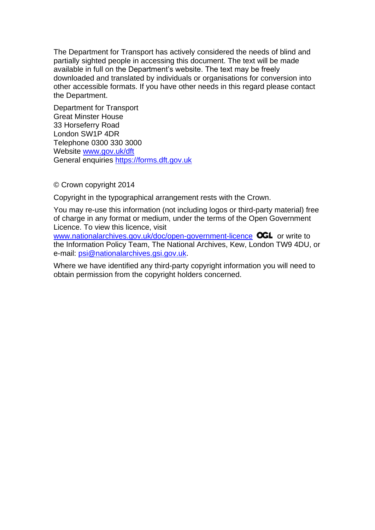The Department for Transport has actively considered the needs of blind and partially sighted people in accessing this document. The text will be made available in full on the Department's website. The text may be freely downloaded and translated by individuals or organisations for conversion into other accessible formats. If you have other needs in this regard please contact the Department.

Department for Transport Great Minster House 33 Horseferry Road London SW1P 4DR Telephone 0300 330 3000 Website [www.gov.uk/dft](http://www.gov.uk/dft)  General enquiries [https://forms.dft.gov.uk](https://forms.dft.gov.uk/) 

© Crown copyright 2014

Copyright in the typographical arrangement rests with the Crown.

Licence. To view this licence, visit You may re-use this information (not including logos or third-party material) free of charge in any format or medium, under the terms of the Open Government

Licence. To view this licence, visit<br>www.nationalarchives.gov.uk/doc/open-government-licence</u> OGL or write to the Information Policy Team, The National Archives, Kew, London TW9 4DU, or e-mail: [psi@nationalarchives.gsi.gov.uk.](mailto:psi@nationalarchives.gsi.gov.uk)

Where we have identified any third-party copyright information you will need to obtain permission from the copyright holders concerned.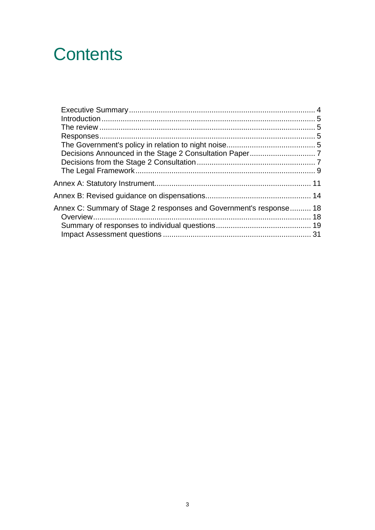# **Contents**

| Annex C: Summary of Stage 2 responses and Government's response 18 |  |
|--------------------------------------------------------------------|--|
|                                                                    |  |
|                                                                    |  |
|                                                                    |  |
|                                                                    |  |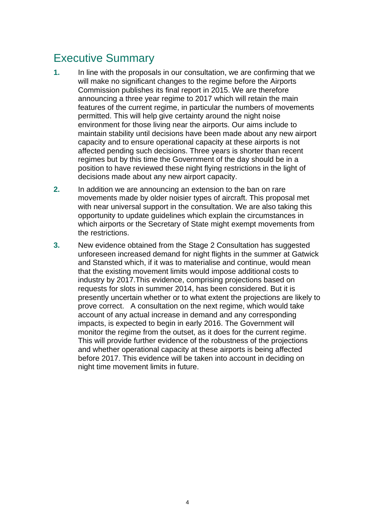# <span id="page-3-0"></span>Executive Summary

- affected pending such decisions. Three years is shorter than recent decisions made about any new airport capacity. **1.** In line with the proposals in our consultation, we are confirming that we will make no significant changes to the regime before the Airports Commission publishes its final report in 2015. We are therefore announcing a three year regime to 2017 which will retain the main features of the current regime, in particular the numbers of movements permitted. This will help give certainty around the night noise environment for those living near the airports. Our aims include to maintain stability until decisions have been made about any new airport capacity and to ensure operational capacity at these airports is not regimes but by this time the Government of the day should be in a position to have reviewed these night flying restrictions in the light of
- **2.** In addition we are announcing an extension to the ban on rare movements made by older noisier types of aircraft. This proposal met with near universal support in the consultation. We are also taking this opportunity to update guidelines which explain the circumstances in which airports or the Secretary of State might exempt movements from the restrictions.
- prove correct. A consultation on the next regime, which would take impacts, is expected to begin in early 2016. The Government will night time movement limits in future. **3.** New evidence obtained from the Stage 2 Consultation has suggested unforeseen increased demand for night flights in the summer at Gatwick and Stansted which, if it was to materialise and continue, would mean that the existing movement limits would impose additional costs to industry by 2017.This evidence, comprising projections based on requests for slots in summer 2014, has been considered. But it is presently uncertain whether or to what extent the projections are likely to account of any actual increase in demand and any corresponding monitor the regime from the outset, as it does for the current regime. This will provide further evidence of the robustness of the projections and whether operational capacity at these airports is being affected before 2017. This evidence will be taken into account in deciding on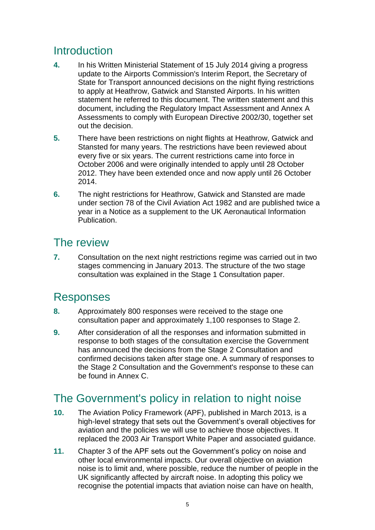# <span id="page-4-0"></span>**Introduction**

- **4.** In his Written Ministerial Statement of 15 July 2014 giving a progress update to the Airports Commission's Interim Report, the Secretary of document, including the Regulatory Impact Assessment and Annex A State for Transport announced decisions on the night flying restrictions to apply at Heathrow, Gatwick and Stansted Airports. In his written statement he referred to this document. The written statement and this Assessments to comply with European Directive 2002/30, together set out the decision.
- **5.** There have been restrictions on night flights at Heathrow, Gatwick and Stansted for many years. The restrictions have been reviewed about every five or six years. The current restrictions came into force in October 2006 and were originally intended to apply until 28 October 2012. They have been extended once and now apply until 26 October 2014.
- **6.** The night restrictions for Heathrow, Gatwick and Stansted are made under section 78 of the Civil Aviation Act 1982 and are published twice a year in a Notice as a supplement to the UK Aeronautical Information **Publication**

# The review

**7.** Consultation on the next night restrictions regime was carried out in two stages commencing in January 2013. The structure of the two stage consultation was explained in the Stage 1 Consultation paper.

# Responses

- **8.** Approximately 800 responses were received to the stage one consultation paper and approximately 1,100 responses to Stage 2.
- confirmed decisions taken after stage one. A summary of responses to **9.** After consideration of all the responses and information submitted in response to both stages of the consultation exercise the Government has announced the decisions from the Stage 2 Consultation and the Stage 2 Consultation and the Government's response to these can be found in Annex C.

# The Government's policy in relation to night noise

- **10.** The Aviation Policy Framework (APF), published in March 2013, is a high-level strategy that sets out the Government's overall objectives for aviation and the policies we will use to achieve those objectives. It replaced the 2003 Air Transport White Paper and associated guidance.
- **11.** Chapter 3 of the APF sets out the Government's policy on noise and other local environmental impacts. Our overall objective on aviation noise is to limit and, where possible, reduce the number of people in the UK significantly affected by aircraft noise. In adopting this policy we recognise the potential impacts that aviation noise can have on health,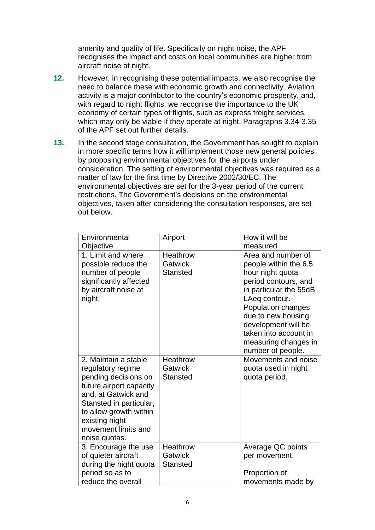amenity and quality of life. Specifically on night noise, the APF recognises the impact and costs on local communities are higher from aircraft noise at night.

- **12.** However, in recognising these potential impacts, we also recognise the need to balance these with economic growth and connectivity. Aviation activity is a major contributor to the country's economic prosperity, and, with regard to night flights, we recognise the importance to the UK economy of certain types of flights, such as express freight services, which may only be viable if they operate at night. Paragraphs 3.34-3.35 of the APF set out further details.
- in more specific terms how it will implement those new general policies **13.** In the second stage consultation, the Government has sought to explain by proposing environmental objectives for the airports under consideration. The setting of environmental objectives was required as a matter of law for the first time by Directive 2002/30/EC. The environmental objectives are set for the 3-year period of the current restrictions. The Government's decisions on the environmental objectives, taken after considering the consultation responses, are set out below.

| Environmental<br>Objective                                                                                                                                                                                                         | Airport                                              | How it will be<br>measured                                                                                                                                                                                                                                                  |
|------------------------------------------------------------------------------------------------------------------------------------------------------------------------------------------------------------------------------------|------------------------------------------------------|-----------------------------------------------------------------------------------------------------------------------------------------------------------------------------------------------------------------------------------------------------------------------------|
| 1. Limit and where<br>possible reduce the<br>number of people<br>significantly affected<br>by aircraft noise at<br>night.                                                                                                          | <b>Heathrow</b><br>Gatwick<br><b>Stansted</b>        | Area and number of<br>people within the 6.5<br>hour night quota<br>period contours, and<br>in particular the 55dB<br>LAeq contour.<br>Population changes<br>due to new housing<br>development will be<br>taken into account in<br>measuring changes in<br>number of people. |
| 2. Maintain a stable<br>regulatory regime<br>pending decisions on<br>future airport capacity<br>and, at Gatwick and<br>Stansted in particular,<br>to allow growth within<br>existing night<br>movement limits and<br>noise quotas. | <b>Heathrow</b><br>Gatwick<br><b>Stansted</b>        | Movements and noise<br>quota used in night<br>quota period.                                                                                                                                                                                                                 |
| 3. Encourage the use<br>of quieter aircraft<br>during the night quota<br>period so as to<br>reduce the overall                                                                                                                     | <b>Heathrow</b><br><b>Gatwick</b><br><b>Stansted</b> | Average QC points<br>per movement.<br>Proportion of<br>movements made by                                                                                                                                                                                                    |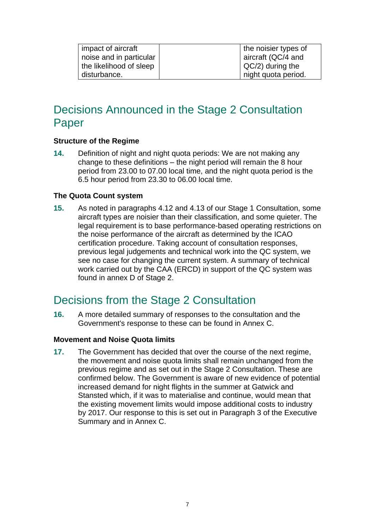| impact of aircraft      | the noisier types of |
|-------------------------|----------------------|
| noise and in particular | aircraft (QC/4 and   |
| the likelihood of sleep | $QC/2)$ during the   |
| disturbance.            | night quota period.  |

# Decisions Announced in the Stage 2 Consultation Paper

## **Structure of the Regime**

 change to these definitions – the night period will remain the 8 hour **14.** Definition of night and night quota periods: We are not making any period from 23.00 to 07.00 local time, and the night quota period is the 6.5 hour period from 23.30 to 06.00 local time.

#### **The Quota Count system**

 aircraft types are noisier than their classification, and some quieter. The see no case for changing the current system. A summary of technical **15.** As noted in paragraphs 4.12 and 4.13 of our Stage 1 Consultation, some legal requirement is to base performance-based operating restrictions on the noise performance of the aircraft as determined by the ICAO certification procedure. Taking account of consultation responses, previous legal judgements and technical work into the QC system, we work carried out by the CAA (ERCD) in support of the QC system was found in annex D of Stage 2.

# Decisions from the Stage 2 Consultation

 Government's response to these can be found in Annex C. **16.** A more detailed summary of responses to the consultation and the

#### **Movement and Noise Quota limits**

 previous regime and as set out in the Stage 2 Consultation. These are **17.** The Government has decided that over the course of the next regime, the movement and noise quota limits shall remain unchanged from the confirmed below. The Government is aware of new evidence of potential increased demand for night flights in the summer at Gatwick and Stansted which, if it was to materialise and continue, would mean that the existing movement limits would impose additional costs to industry by 2017. Our response to this is set out in Paragraph 3 of the Executive Summary and in Annex C.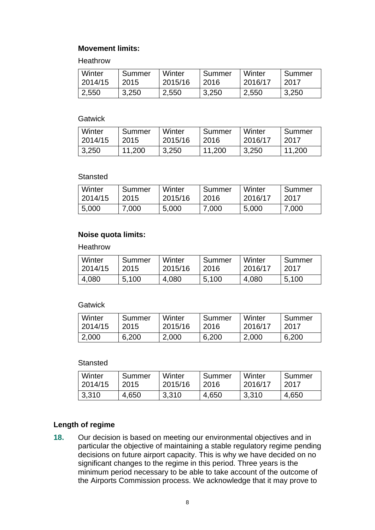## **Movement limits:**

Heathrow

| Winter  | Summer | Winter  | Summer | Winter  | Summer |
|---------|--------|---------|--------|---------|--------|
| 2014/15 | 2015   | 2015/16 | 2016   | 2016/17 | 2017   |
| 2,550   | 3,250  | 2,550   | 3,250  | 2,550   | 3,250  |

#### **Gatwick**

| Winter  | Summer | Winter  | Summer | Winter  | Summer |
|---------|--------|---------|--------|---------|--------|
| 2014/15 | 2015   | 2015/16 | 2016   | 2016/17 | 2017   |
| 3,250   | 11,200 | 3,250   | 11,200 | 3,250   | 11,200 |

#### **Stansted**

| Winter  | Summer | Winter  | Summer | Winter  | Summer |
|---------|--------|---------|--------|---------|--------|
| 2014/15 | 2015   | 2015/16 | 2016   | 2016/17 | 2017   |
| 5,000   | 7.000  | 5,000   | 7,000  | 5,000   | 7.000  |

# **Noise quota limits:**

**Heathrow** 

| Winter  | Summer | Winter  | Summer | Winter  | Summer |
|---------|--------|---------|--------|---------|--------|
| 2014/15 | 2015   | 2015/16 | 2016   | 2016/17 | 2017   |
| 4,080   | 5,100  | 4,080   | 5,100  | 4,080   | 5,100  |

#### **Gatwick**

| Winter  | Summer | Winter  | Summer | Winter  | Summer |
|---------|--------|---------|--------|---------|--------|
| 2014/15 | 2015   | 2015/16 | 2016   | 2016/17 | 2017   |
| 2,000   | 6,200  | 2,000   | 6,200  | 2,000   | 6,200  |

#### **Stansted**

| Winter  | Summer | Winter  | Summer | Winter  | Summer |
|---------|--------|---------|--------|---------|--------|
| 2014/15 | 2015   | 2015/16 | 2016   | 2016/17 | 2017   |
| 3,310   | 4,650  | 3,310   | 4,650  | 3,310   | 4,650  |

# **Length of regime**

**18.** Our decision is based on meeting our environmental objectives and in particular the objective of maintaining a stable regulatory regime pending decisions on future airport capacity. This is why we have decided on no significant changes to the regime in this period. Three years is the minimum period necessary to be able to take account of the outcome of the Airports Commission process. We acknowledge that it may prove to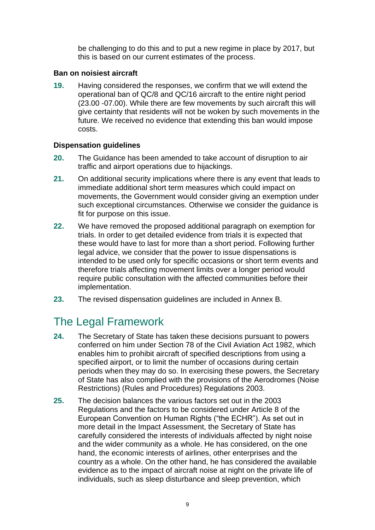be challenging to do this and to put a new regime in place by 2017, but this is based on our current estimates of the process.

#### <span id="page-8-0"></span>**Ban on noisiest aircraft**

 costs. **19.** Having considered the responses, we confirm that we will extend the operational ban of QC/8 and QC/16 aircraft to the entire night period (23.00 -07.00). While there are few movements by such aircraft this will give certainty that residents will not be woken by such movements in the future. We received no evidence that extending this ban would impose

## **Dispensation guidelines**

- traffic and airport operations due to hijackings. **20.** The Guidance has been amended to take account of disruption to air
- **21.** On additional security implications where there is any event that leads to immediate additional short term measures which could impact on movements, the Government would consider giving an exemption under such exceptional circumstances. Otherwise we consider the guidance is fit for purpose on this issue.
- **22.** We have removed the proposed additional paragraph on exemption for trials. In order to get detailed evidence from trials it is expected that these would have to last for more than a short period. Following further legal advice, we consider that the power to issue dispensations is intended to be used only for specific occasions or short term events and therefore trials affecting movement limits over a longer period would require public consultation with the affected communities before their implementation.
- **23.** The revised dispensation guidelines are included in Annex B.

# The Legal Framework

- Restrictions) (Rules and Procedures) Regulations 2003. **24.** The Secretary of State has taken these decisions pursuant to powers conferred on him under Section 78 of the Civil Aviation Act 1982, which enables him to prohibit aircraft of specified descriptions from using a specified airport, or to limit the number of occasions during certain periods when they may do so. In exercising these powers, the Secretary of State has also complied with the provisions of the Aerodromes (Noise
- **25.** The decision balances the various factors set out in the 2003 Regulations and the factors to be considered under Article 8 of the European Convention on Human Rights ("the ECHR"). As set out in more detail in the Impact Assessment, the Secretary of State has carefully considered the interests of individuals affected by night noise and the wider community as a whole. He has considered, on the one hand, the economic interests of airlines, other enterprises and the country as a whole. On the other hand, he has considered the available evidence as to the impact of aircraft noise at night on the private life of individuals, such as sleep disturbance and sleep prevention, which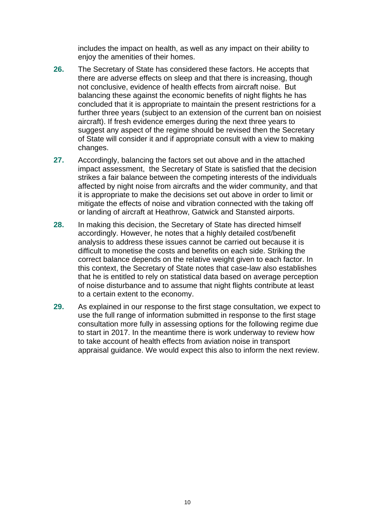includes the impact on health, as well as any impact on their ability to enjoy the amenities of their homes.

- suggest any aspect of the regime should be revised then the Secretary **26.** The Secretary of State has considered these factors. He accepts that there are adverse effects on sleep and that there is increasing, though not conclusive, evidence of health effects from aircraft noise. But balancing these against the economic benefits of night flights he has concluded that it is appropriate to maintain the present restrictions for a further three years (subject to an extension of the current ban on noisiest aircraft). If fresh evidence emerges during the next three years to of State will consider it and if appropriate consult with a view to making changes.
- or landing of aircraft at Heathrow, Gatwick and Stansted airports. **27.** Accordingly, balancing the factors set out above and in the attached impact assessment, the Secretary of State is satisfied that the decision strikes a fair balance between the competing interests of the individuals affected by night noise from aircrafts and the wider community, and that it is appropriate to make the decisions set out above in order to limit or mitigate the effects of noise and vibration connected with the taking off
- **28.** In making this decision, the Secretary of State has directed himself accordingly. However, he notes that a highly detailed cost/benefit analysis to address these issues cannot be carried out because it is difficult to monetise the costs and benefits on each side. Striking the correct balance depends on the relative weight given to each factor. In this context, the Secretary of State notes that case-law also establishes that he is entitled to rely on statistical data based on average perception of noise disturbance and to assume that night flights contribute at least to a certain extent to the economy.
- **29.** As explained in our response to the first stage consultation, we expect to use the full range of information submitted in response to the first stage consultation more fully in assessing options for the following regime due to start in 2017. In the meantime there is work underway to review how to take account of health effects from aviation noise in transport appraisal guidance. We would expect this also to inform the next review.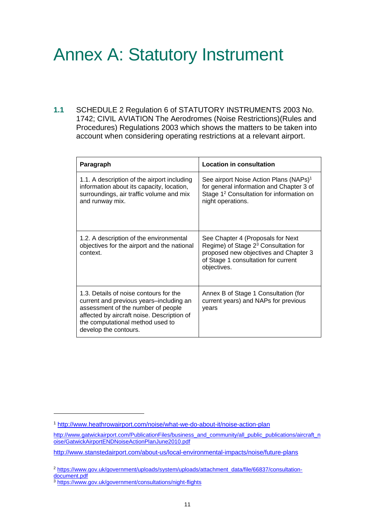# Annex A: Statutory Instrument

**1.1** SCHEDULE 2 Regulation 6 of STATUTORY INSTRUMENTS 2003 No. 1742; CIVIL AVIATION The Aerodromes (Noise Restrictions)(Rules and Procedures) Regulations 2003 which shows the matters to be taken into account when considering operating restrictions at a relevant airport.

| Paragraph                                                                                                                                                                                                                          | <b>Location in consultation</b>                                                                                                                                                      |
|------------------------------------------------------------------------------------------------------------------------------------------------------------------------------------------------------------------------------------|--------------------------------------------------------------------------------------------------------------------------------------------------------------------------------------|
| 1.1. A description of the airport including<br>information about its capacity, location,<br>surroundings, air traffic volume and mix<br>and runway mix.                                                                            | See airport Noise Action Plans (NAPs) <sup>1</sup><br>for general information and Chapter 3 of<br>Stage 1 <sup>2</sup> Consultation for information on<br>night operations.          |
| 1.2. A description of the environmental<br>objectives for the airport and the national<br>context.                                                                                                                                 | See Chapter 4 (Proposals for Next<br>Regime) of Stage 2 <sup>3</sup> Consultation for<br>proposed new objectives and Chapter 3<br>of Stage 1 consultation for current<br>objectives. |
| 1.3. Details of noise contours for the<br>current and previous years-including an<br>assessment of the number of people<br>affected by aircraft noise. Description of<br>the computational method used to<br>develop the contours. | Annex B of Stage 1 Consultation (for<br>current years) and NAPs for previous<br>years                                                                                                |

l

<sup>1</sup><http://www.heathrowairport.com/noise/what-we-do-about-it/noise-action-plan>

http://www.gatwickairport.com/PublicationFiles/business\_and\_community/all\_public\_publications/aircraft\_n [oise/GatwickAirportENDNoiseActionPlanJune2010.pdf](http://www.gatwickairport.com/PublicationFiles/business_and_community/all_public_publications/aircraft_noise/GatwickAirportENDNoiseActionPlanJune2010.pdf) 

<http://www.stanstedairport.com/about-us/local-environmental-impacts/noise/future-plans>

<sup>2</sup> [https://www.gov.uk/government/uploads/system/uploads/attachment\\_data/file/66837/consultation](https://www.gov.uk/government/uploads/system/uploads/attachment_data/file/66837/consultation-document.pdf)[document.pdf](https://www.gov.uk/government/uploads/system/uploads/attachment_data/file/66837/consultation-document.pdf) 

<sup>3</sup><https://www.gov.uk/government/consultations/night-flights>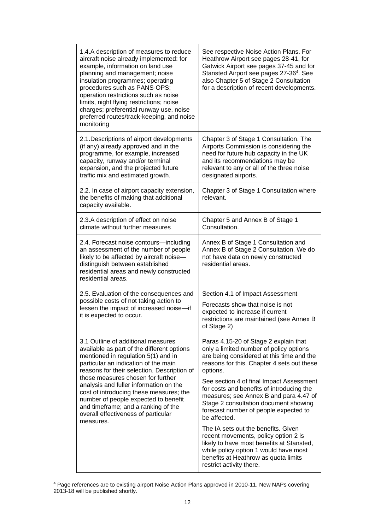| 1.4.A description of measures to reduce<br>aircraft noise already implemented: for<br>example, information on land use<br>planning and management; noise<br>insulation programmes; operating<br>procedures such as PANS-OPS;<br>operation restrictions such as noise<br>limits, night flying restrictions; noise<br>charges; preferential runway use, noise<br>preferred routes/track-keeping, and noise<br>monitoring | See respective Noise Action Plans. For<br>Heathrow Airport see pages 28-41, for<br>Gatwick Airport see pages 37-45 and for<br>Stansted Airport see pages 27-36 <sup>4</sup> . See<br>also Chapter 5 of Stage 2 Consultation<br>for a description of recent developments. |
|------------------------------------------------------------------------------------------------------------------------------------------------------------------------------------------------------------------------------------------------------------------------------------------------------------------------------------------------------------------------------------------------------------------------|--------------------------------------------------------------------------------------------------------------------------------------------------------------------------------------------------------------------------------------------------------------------------|
| 2.1. Descriptions of airport developments<br>(if any) already approved and in the<br>programme, for example, increased<br>capacity, runway and/or terminal<br>expansion, and the projected future<br>traffic mix and estimated growth.                                                                                                                                                                                 | Chapter 3 of Stage 1 Consultation. The<br>Airports Commission is considering the<br>need for future hub capacity in the UK<br>and its recommendations may be<br>relevant to any or all of the three noise<br>designated airports.                                        |
| 2.2. In case of airport capacity extension,<br>the benefits of making that additional<br>capacity available.                                                                                                                                                                                                                                                                                                           | Chapter 3 of Stage 1 Consultation where<br>relevant.                                                                                                                                                                                                                     |
| 2.3.A description of effect on noise<br>climate without further measures                                                                                                                                                                                                                                                                                                                                               | Chapter 5 and Annex B of Stage 1<br>Consultation.                                                                                                                                                                                                                        |
| 2.4. Forecast noise contours-including<br>an assessment of the number of people<br>likely to be affected by aircraft noise-<br>distinguish between established<br>residential areas and newly constructed<br>residential areas.                                                                                                                                                                                        | Annex B of Stage 1 Consultation and<br>Annex B of Stage 2 Consultation. We do<br>not have data on newly constructed<br>residential areas.                                                                                                                                |
| 2.5. Evaluation of the consequences and<br>possible costs of not taking action to<br>lessen the impact of increased noise-if<br>it is expected to occur.                                                                                                                                                                                                                                                               | Section 4.1 of Impact Assessment<br>Forecasts show that noise is not<br>expected to increase if current<br>restrictions are maintained (see Annex B<br>of Stage 2)                                                                                                       |
| 3.1 Outline of additional measures<br>available as part of the different options<br>mentioned in regulation 5(1) and in<br>particular an indication of the main<br>reasons for their selection. Description of                                                                                                                                                                                                         | Paras 4.15-20 of Stage 2 explain that<br>only a limited number of policy options<br>are being considered at this time and the<br>reasons for this. Chapter 4 sets out these<br>options.                                                                                  |
| those measures chosen for further<br>analysis and fuller information on the<br>cost of introducing these measures; the<br>number of people expected to benefit<br>and timeframe; and a ranking of the<br>overall effectiveness of particular<br>measures.                                                                                                                                                              | See section 4 of final Impact Assessment<br>for costs and benefits of introducing the<br>measures; see Annex B and para 4.47 of<br>Stage 2 consultation document showing<br>forecast number of people expected to<br>be affected.                                        |
|                                                                                                                                                                                                                                                                                                                                                                                                                        | The IA sets out the benefits. Given<br>recent movements, policy option 2 is<br>likely to have most benefits at Stansted,<br>while policy option 1 would have most<br>benefits at Heathrow as quota limits<br>restrict activity there.                                    |

<sup>&</sup>lt;sup>4</sup> Page references are to existing airport Noise Action Plans approved in 2010-11. New NAPs covering 2013-18 will be published shortly.

l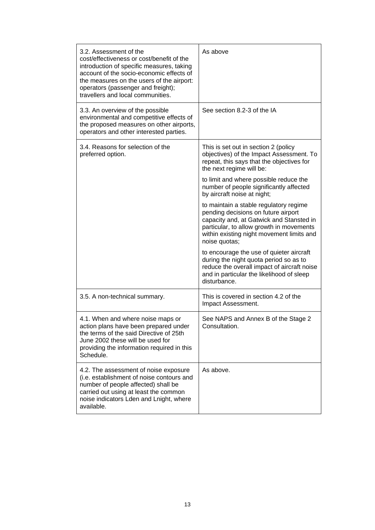| 3.2. Assessment of the<br>cost/effectiveness or cost/benefit of the<br>introduction of specific measures, taking<br>account of the socio-economic effects of<br>the measures on the users of the airport:<br>operators (passenger and freight);<br>travellers and local communities. | As above                                                                                                                                                                                                                            |
|--------------------------------------------------------------------------------------------------------------------------------------------------------------------------------------------------------------------------------------------------------------------------------------|-------------------------------------------------------------------------------------------------------------------------------------------------------------------------------------------------------------------------------------|
| 3.3. An overview of the possible<br>environmental and competitive effects of<br>the proposed measures on other airports,<br>operators and other interested parties.                                                                                                                  | See section 8.2-3 of the IA                                                                                                                                                                                                         |
| 3.4. Reasons for selection of the<br>preferred option.                                                                                                                                                                                                                               | This is set out in section 2 (policy<br>objectives) of the Impact Assessment. To<br>repeat, this says that the objectives for<br>the next regime will be:                                                                           |
|                                                                                                                                                                                                                                                                                      | to limit and where possible reduce the<br>number of people significantly affected<br>by aircraft noise at night;                                                                                                                    |
|                                                                                                                                                                                                                                                                                      | to maintain a stable regulatory regime<br>pending decisions on future airport<br>capacity and, at Gatwick and Stansted in<br>particular, to allow growth in movements<br>within existing night movement limits and<br>noise quotas; |
|                                                                                                                                                                                                                                                                                      | to encourage the use of quieter aircraft<br>during the night quota period so as to<br>reduce the overall impact of aircraft noise<br>and in particular the likelihood of sleep<br>disturbance.                                      |
| 3.5. A non-technical summary.                                                                                                                                                                                                                                                        | This is covered in section 4.2 of the<br>Impact Assessment.                                                                                                                                                                         |
| 4.1. When and where noise maps or<br>action plans have been prepared under<br>the terms of the said Directive of 25th<br>June 2002 these will be used for<br>providing the information required in this<br>Schedule.                                                                 | See NAPS and Annex B of the Stage 2<br>Consultation.                                                                                                                                                                                |
| 4.2. The assessment of noise exposure<br>(i.e. establishment of noise contours and<br>number of people affected) shall be<br>carried out using at least the common<br>noise indicators Lden and Lnight, where<br>available.                                                          | As above.                                                                                                                                                                                                                           |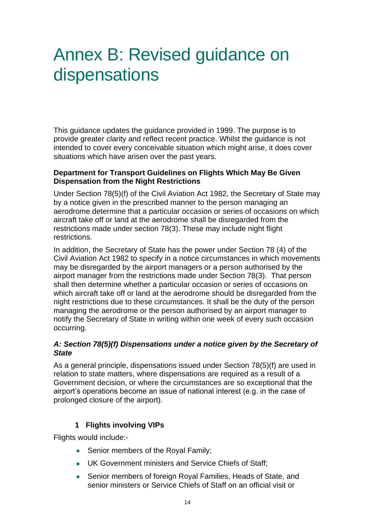# <span id="page-13-0"></span> Annex B: Revised guidance on dispensations

This guidance updates the guidance provided in 1999. The purpose is to provide greater clarity and reflect recent practice. Whilst the guidance is not intended to cover every conceivable situation which might arise, it does cover situations which have arisen over the past years.

#### **Department for Transport Guidelines on Flights Which May Be Given Dispensation from the Night Restrictions**

restrictions Under Section 78(5)(f) of the Civil Aviation Act 1982, the Secretary of State may by a notice given in the prescribed manner to the person managing an aerodrome determine that a particular occasion or series of occasions on which aircraft take off or land at the aerodrome shall be disregarded from the restrictions made under section 78(3). These may include night flight

In addition, the Secretary of State has the power under Section 78 (4) of the Civil Aviation Act 1982 to specify in a notice circumstances in which movements may be disregarded by the airport managers or a person authorised by the airport manager from the restrictions made under Section 78(3). That person shall then determine whether a particular occasion or series of occasions on which aircraft take off or land at the aerodrome should be disregarded from the night restrictions due to these circumstances. It shall be the duty of the person managing the aerodrome or the person authorised by an airport manager to notify the Secretary of State in writing within one week of every such occasion occurring.

## *A: Section 78(5)(f) Dispensations under a notice given by the Secretary of State*

As a general principle, dispensations issued under Section 78(5)(f) are used in relation to state matters, where dispensations are required as a result of a Government decision, or where the circumstances are so exceptional that the airport's operations become an issue of national interest (e.g. in the case of prolonged closure of the airport).

# **1 Flights involving VIPs**

Flights would include:-

- Senior members of the Royal Family;
- UK Government ministers and Service Chiefs of Staff;
- Senior members of foreign Royal Families, Heads of State, and senior ministers or Service Chiefs of Staff on an official visit or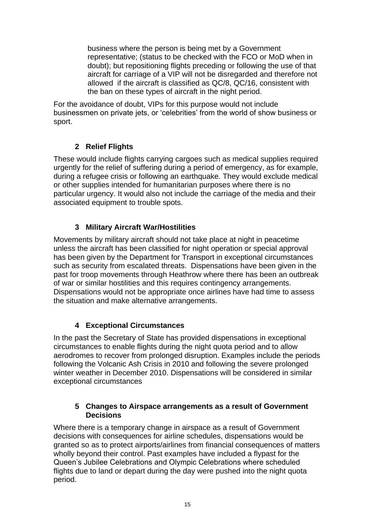representative; (status to be checked with the FCO or MoD when in business where the person is being met by a Government doubt); but repositioning flights preceding or following the use of that aircraft for carriage of a VIP will not be disregarded and therefore not allowed if the aircraft is classified as QC/8, QC/16, consistent with the ban on these types of aircraft in the night period.

For the avoidance of doubt, VIPs for this purpose would not include businessmen on private jets, or 'celebrities' from the world of show business or sport.

# **2 Relief Flights**

These would include flights carrying cargoes such as medical supplies required urgently for the relief of suffering during a period of emergency, as for example, during a refugee crisis or following an earthquake. They would exclude medical or other supplies intended for humanitarian purposes where there is no particular urgency. It would also not include the carriage of the media and their associated equipment to trouble spots.

# **3 Military Aircraft War/Hostilities**

 such as security from escalated threats. Dispensations have been given in the Movements by military aircraft should not take place at night in peacetime unless the aircraft has been classified for night operation or special approval has been given by the Department for Transport in exceptional circumstances past for troop movements through Heathrow where there has been an outbreak of war or similar hostilities and this requires contingency arrangements. Dispensations would not be appropriate once airlines have had time to assess the situation and make alternative arrangements.

# **4 Exceptional Circumstances**

In the past the Secretary of State has provided dispensations in exceptional circumstances to enable flights during the night quota period and to allow aerodromes to recover from prolonged disruption. Examples include the periods following the Volcanic Ash Crisis in 2010 and following the severe prolonged winter weather in December 2010. Dispensations will be considered in similar exceptional circumstances

#### **5 Changes to Airspace arrangements as a result of Government Decisions**

Where there is a temporary change in airspace as a result of Government decisions with consequences for airline schedules, dispensations would be granted so as to protect airports/airlines from financial consequences of matters wholly beyond their control. Past examples have included a flypast for the Queen's Jubilee Celebrations and Olympic Celebrations where scheduled flights due to land or depart during the day were pushed into the night quota period.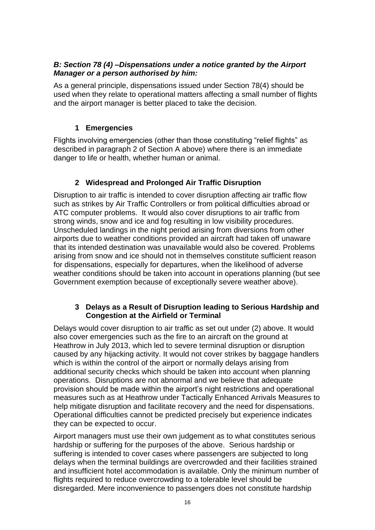# *B: Section 78 (4) –Dispensations under a notice granted by the Airport Manager or a person authorised by him:*

As a general principle, dispensations issued under Section 78(4) should be used when they relate to operational matters affecting a small number of flights and the airport manager is better placed to take the decision.

# **1 Emergencies**

Flights involving emergencies (other than those constituting "relief flights" as described in paragraph 2 of Section A above) where there is an immediate danger to life or health, whether human or animal.

# **2 Widespread and Prolonged Air Traffic Disruption**

 Government exemption because of exceptionally severe weather above). Disruption to air traffic is intended to cover disruption affecting air traffic flow such as strikes by Air Traffic Controllers or from political difficulties abroad or ATC computer problems. It would also cover disruptions to air traffic from strong winds, snow and ice and fog resulting in low visibility procedures. Unscheduled landings in the night period arising from diversions from other airports due to weather conditions provided an aircraft had taken off unaware that its intended destination was unavailable would also be covered. Problems arising from snow and ice should not in themselves constitute sufficient reason for dispensations, especially for departures, when the likelihood of adverse weather conditions should be taken into account in operations planning (but see

## **3 Delays as a Result of Disruption leading to Serious Hardship and Congestion at the Airfield or Terminal**

 operations. Disruptions are not abnormal and we believe that adequate help mitigate disruption and facilitate recovery and the need for dispensations. Delays would cover disruption to air traffic as set out under (2) above. It would also cover emergencies such as the fire to an aircraft on the ground at Heathrow in July 2013, which led to severe terminal disruption or disruption caused by any hijacking activity. It would not cover strikes by baggage handlers which is within the control of the airport or normally delays arising from additional security checks which should be taken into account when planning provision should be made within the airport's night restrictions and operational measures such as at Heathrow under Tactically Enhanced Arrivals Measures to Operational difficulties cannot be predicted precisely but experience indicates they can be expected to occur.

Airport managers must use their own judgement as to what constitutes serious hardship or suffering for the purposes of the above. Serious hardship or suffering is intended to cover cases where passengers are subjected to long delays when the terminal buildings are overcrowded and their facilities strained and insufficient hotel accommodation is available. Only the minimum number of flights required to reduce overcrowding to a tolerable level should be disregarded. Mere inconvenience to passengers does not constitute hardship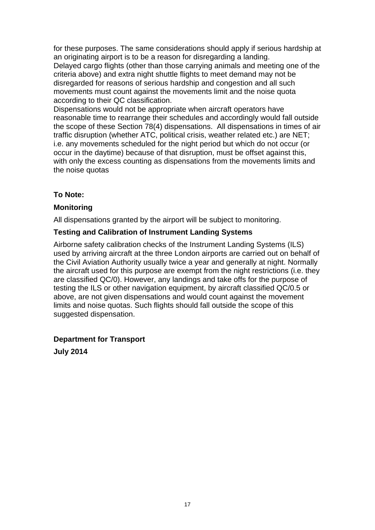for these purposes. The same considerations should apply if serious hardship at an originating airport is to be a reason for disregarding a landing. Delayed cargo flights (other than those carrying animals and meeting one of the criteria above) and extra night shuttle flights to meet demand may not be disregarded for reasons of serious hardship and congestion and all such movements must count against the movements limit and the noise quota according to their QC classification.

 the scope of these Section 78(4) dispensations. All dispensations in times of air Dispensations would not be appropriate when aircraft operators have reasonable time to rearrange their schedules and accordingly would fall outside traffic disruption (whether ATC, political crisis, weather related etc.) are NET; i.e. any movements scheduled for the night period but which do not occur (or occur in the daytime) because of that disruption, must be offset against this, with only the excess counting as dispensations from the movements limits and the noise quotas

# To Note:

# **To Note: Monitoring**

All dispensations granted by the airport will be subject to monitoring.

## **Testing and Calibration of Instrument Landing Systems**

Airborne safety calibration checks of the Instrument Landing Systems (ILS) used by arriving aircraft at the three London airports are carried out on behalf of the Civil Aviation Authority usually twice a year and generally at night. Normally the aircraft used for this purpose are exempt from the night restrictions (i.e. they are classified QC/0). However, any landings and take offs for the purpose of testing the ILS or other navigation equipment, by aircraft classified QC/0.5 or above, are not given dispensations and would count against the movement limits and noise quotas. Such flights should fall outside the scope of this suggested dispensation.

# **Department for Transport**

 **July 2014**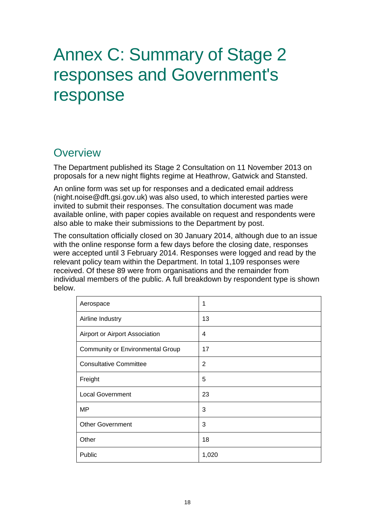# Annex C: Summary of Stage 2 responses and Government's response

# Overview

The Department published its Stage 2 Consultation on 11 November 2013 on proposals for a new night flights regime at Heathrow, Gatwick and Stansted.

An online form was set up for responses and a dedicated email address (night.noise@dft.gsi.gov.uk) was also used, to which interested parties were invited to submit their responses. The consultation document was made available online, with paper copies available on request and respondents were also able to make their submissions to the Department by post.

The consultation officially closed on 30 January 2014, although due to an issue with the online response form a few days before the closing date, responses were accepted until 3 February 2014. Responses were logged and read by the relevant policy team within the Department. In total 1,109 responses were received. Of these 89 were from organisations and the remainder from individual members of the public. A full breakdown by respondent type is shown below.

| Aerospace                        | 1              |
|----------------------------------|----------------|
| Airline Industry                 | 13             |
| Airport or Airport Association   | 4              |
| Community or Environmental Group | 17             |
| <b>Consultative Committee</b>    | $\overline{2}$ |
| Freight                          | 5              |
| <b>Local Government</b>          | 23             |
| <b>MP</b>                        | 3              |
| <b>Other Government</b>          | 3              |
| Other                            | 18             |
| Public                           | 1,020          |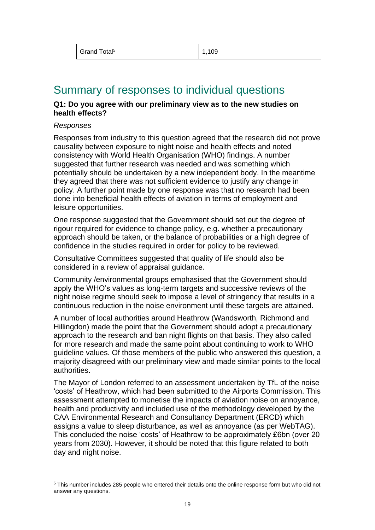<span id="page-18-0"></span>

| Grand Total <sup>5</sup> | 1,109 |
|--------------------------|-------|
|--------------------------|-------|

# Summary of responses to individual questions

#### **Q1: Do you agree with our preliminary view as to the new studies on health effects?**

#### *Responses*

l

Responses from industry to this question agreed that the research did not prove causality between exposure to night noise and health effects and noted consistency with World Health Organisation (WHO) findings. A number suggested that further research was needed and was something which potentially should be undertaken by a new independent body. In the meantime they agreed that there was not sufficient evidence to justify any change in policy. A further point made by one response was that no research had been done into beneficial health effects of aviation in terms of employment and leisure opportunities.

One response suggested that the Government should set out the degree of rigour required for evidence to change policy, e.g. whether a precautionary approach should be taken, or the balance of probabilities or a high degree of confidence in the studies required in order for policy to be reviewed.

Consultative Committees suggested that quality of life should also be considered in a review of appraisal guidance.

Community /environmental groups emphasised that the Government should apply the WHO's values as long-term targets and successive reviews of the night noise regime should seek to impose a level of stringency that results in a continuous reduction in the noise environment until these targets are attained.

A number of local authorities around Heathrow (Wandsworth, Richmond and Hillingdon) made the point that the Government should adopt a precautionary approach to the research and ban night flights on that basis. They also called for more research and made the same point about continuing to work to WHO guideline values. Of those members of the public who answered this question, a majority disagreed with our preliminary view and made similar points to the local authorities.

The Mayor of London referred to an assessment undertaken by TfL of the noise 'costs' of Heathrow, which had been submitted to the Airports Commission. This assessment attempted to monetise the impacts of aviation noise on annoyance, health and productivity and included use of the methodology developed by the CAA Environmental Research and Consultancy Department (ERCD) which assigns a value to sleep disturbance, as well as annoyance (as per WebTAG). This concluded the noise 'costs' of Heathrow to be approximately £6bn (over 20 years from 2030). However, it should be noted that this figure related to both day and night noise.

<sup>5</sup> This number includes 285 people who entered their details onto the online response form but who did not answer any questions.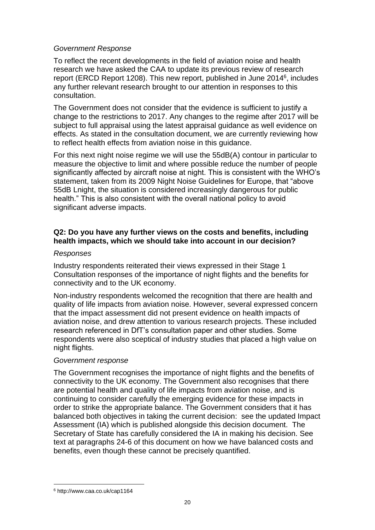#### *Government Response*

report (ERCD Report 1208). This new report, published in June 2014<sup>6</sup>, includes To reflect the recent developments in the field of aviation noise and health research we have asked the CAA to update its previous review of research any further relevant research brought to our attention in responses to this consultation.

The Government does not consider that the evidence is sufficient to justify a change to the restrictions to 2017. Any changes to the regime after 2017 will be subject to full appraisal using the latest appraisal guidance as well evidence on effects. As stated in the consultation document, we are currently reviewing how to reflect health effects from aviation noise in this guidance.

 significant adverse impacts. For this next night noise regime we will use the 55dB(A) contour in particular to measure the objective to limit and where possible reduce the number of people significantly affected by aircraft noise at night. This is consistent with the WHO's statement, taken from its 2009 Night Noise Guidelines for Europe, that "above 55dB Lnight, the situation is considered increasingly dangerous for public health." This is also consistent with the overall national policy to avoid

## **Q2: Do you have any further views on the costs and benefits, including health impacts, which we should take into account in our decision?**

#### *Responses*

connectivity and to the UK economy. Industry respondents reiterated their views expressed in their Stage 1 Consultation responses of the importance of night flights and the benefits for

Non-industry respondents welcomed the recognition that there are health and quality of life impacts from aviation noise. However, several expressed concern that the impact assessment did not present evidence on health impacts of aviation noise, and drew attention to various research projects. These included research referenced in DfT's consultation paper and other studies. Some respondents were also sceptical of industry studies that placed a high value on night flights.

#### *Government response*

 continuing to consider carefully the emerging evidence for these impacts in benefits, even though these cannot be precisely quantified.<br>  $\frac{6 \text{ http://www.caa.co.uk/cap1164}}{}$ The Government recognises the importance of night flights and the benefits of connectivity to the UK economy. The Government also recognises that there are potential health and quality of life impacts from aviation noise, and is order to strike the appropriate balance. The Government considers that it has balanced both objectives in taking the current decision: see the updated Impact Assessment (IA) which is published alongside this decision document. The Secretary of State has carefully considered the IA in making his decision. See text at paragraphs 24-6 of this document on how we have balanced costs and

l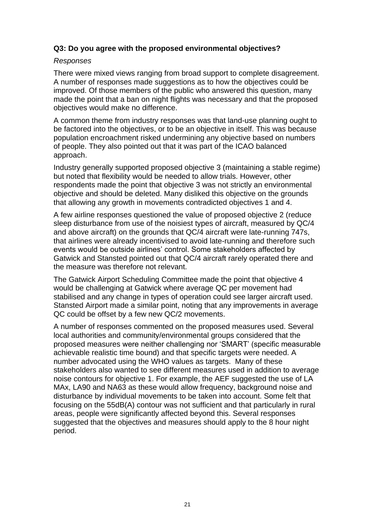#### **Q3: Do you agree with the proposed environmental objectives?**

#### *Responses*

There were mixed views ranging from broad support to complete disagreement. A number of responses made suggestions as to how the objectives could be improved. Of those members of the public who answered this question, many made the point that a ban on night flights was necessary and that the proposed objectives would make no difference.

A common theme from industry responses was that land-use planning ought to be factored into the objectives, or to be an objective in itself. This was because population encroachment risked undermining any objective based on numbers of people. They also pointed out that it was part of the ICAO balanced approach.

Industry generally supported proposed objective 3 (maintaining a stable regime) but noted that flexibility would be needed to allow trials. However, other respondents made the point that objective 3 was not strictly an environmental objective and should be deleted. Many disliked this objective on the grounds that allowing any growth in movements contradicted objectives 1 and 4.

A few airline responses questioned the value of proposed objective 2 (reduce sleep disturbance from use of the noisiest types of aircraft, measured by QC/4 and above aircraft) on the grounds that QC/4 aircraft were late-running 747s, that airlines were already incentivised to avoid late-running and therefore such events would be outside airlines' control. Some stakeholders affected by Gatwick and Stansted pointed out that QC/4 aircraft rarely operated there and the measure was therefore not relevant.

QC could be offset by a few new QC/2 movements. The Gatwick Airport Scheduling Committee made the point that objective 4 would be challenging at Gatwick where average QC per movement had stabilised and any change in types of operation could see larger aircraft used. Stansted Airport made a similar point, noting that any improvements in average

A number of responses commented on the proposed measures used. Several local authorities and community/environmental groups considered that the proposed measures were neither challenging nor 'SMART' (specific measurable achievable realistic time bound) and that specific targets were needed. A number advocated using the WHO values as targets. Many of these stakeholders also wanted to see different measures used in addition to average noise contours for objective 1. For example, the AEF suggested the use of LA MAx, LA90 and NA63 as these would allow frequency, background noise and disturbance by individual movements to be taken into account. Some felt that focusing on the 55dB(A) contour was not sufficient and that particularly in rural areas, people were significantly affected beyond this. Several responses suggested that the objectives and measures should apply to the 8 hour night period.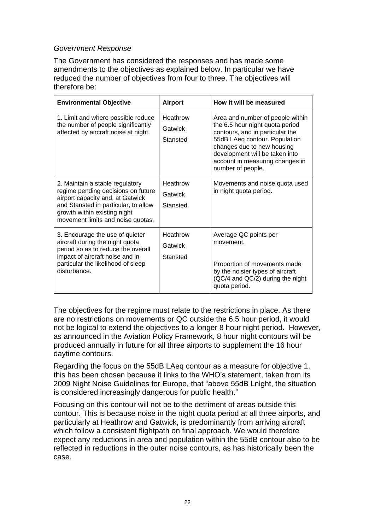## *Government Response*

The Government has considered the responses and has made some amendments to the objectives as explained below. In particular we have reduced the number of objectives from four to three. The objectives will therefore be:

| <b>Environmental Objective</b>                                                                                                                                                                                         | <b>Airport</b>                  | How it will be measured                                                                                                                                                                                                                                         |
|------------------------------------------------------------------------------------------------------------------------------------------------------------------------------------------------------------------------|---------------------------------|-----------------------------------------------------------------------------------------------------------------------------------------------------------------------------------------------------------------------------------------------------------------|
| 1. Limit and where possible reduce<br>the number of people significantly<br>affected by aircraft noise at night.                                                                                                       | Heathrow<br>Gatwick<br>Stansted | Area and number of people within<br>the 6.5 hour night quota period<br>contours, and in particular the<br>55dB LAeq contour. Population<br>changes due to new housing<br>development will be taken into<br>account in measuring changes in<br>number of people. |
| 2. Maintain a stable regulatory<br>regime pending decisions on future<br>airport capacity and, at Gatwick<br>and Stansted in particular, to allow<br>growth within existing night<br>movement limits and noise quotas. | Heathrow<br>Gatwick<br>Stansted | Movements and noise quota used<br>in night quota period.                                                                                                                                                                                                        |
| 3. Encourage the use of quieter<br>aircraft during the night quota<br>period so as to reduce the overall<br>impact of aircraft noise and in<br>particular the likelihood of sleep<br>disturbance.                      | Heathrow<br>Gatwick<br>Stansted | Average QC points per<br>movement.<br>Proportion of movements made<br>by the noisier types of aircraft<br>(QC/4 and QC/2) during the night<br>quota period.                                                                                                     |

The objectives for the regime must relate to the restrictions in place. As there are no restrictions on movements or QC outside the 6.5 hour period, it would not be logical to extend the objectives to a longer 8 hour night period. However, as announced in the Aviation Policy Framework, 8 hour night contours will be produced annually in future for all three airports to supplement the 16 hour daytime contours.

Regarding the focus on the 55dB LAeq contour as a measure for objective 1, this has been chosen because it links to the WHO's statement, taken from its 2009 Night Noise Guidelines for Europe, that "above 55dB Lnight, the situation is considered increasingly dangerous for public health."

Focusing on this contour will not be to the detriment of areas outside this contour. This is because noise in the night quota period at all three airports, and particularly at Heathrow and Gatwick, is predominantly from arriving aircraft which follow a consistent flightpath on final approach. We would therefore expect any reductions in area and population within the 55dB contour also to be reflected in reductions in the outer noise contours, as has historically been the case.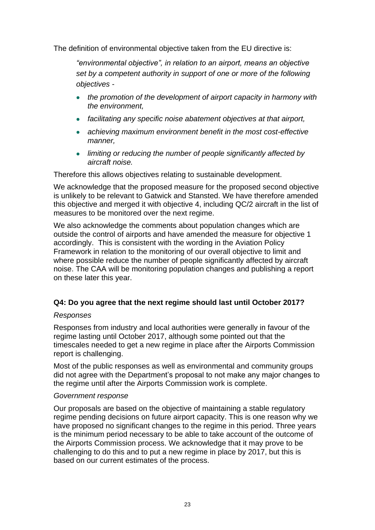The definition of environmental objective taken from the EU directive is:

 *objectives - "environmental objective", in relation to an airport, means an objective set by a competent authority in support of one or more of the following* 

- *the promotion of the development of airport capacity in harmony with the environment,*
- *facilitating any specific noise abatement objectives at that airport,*
- *achieving maximum environment benefit in the most cost-effective manner,*
- *limiting or reducing the number of people significantly affected by aircraft noise.*

Therefore this allows objectives relating to sustainable development.

We acknowledge that the proposed measure for the proposed second objective is unlikely to be relevant to Gatwick and Stansted. We have therefore amended this objective and merged it with objective 4, including QC/2 aircraft in the list of measures to be monitored over the next regime.

 on these later this year. We also acknowledge the comments about population changes which are outside the control of airports and have amended the measure for objective 1 accordingly. This is consistent with the wording in the Aviation Policy Framework in relation to the monitoring of our overall objective to limit and where possible reduce the number of people significantly affected by aircraft noise. The CAA will be monitoring population changes and publishing a report

# **Q4: Do you agree that the next regime should last until October 2017?**

#### *Responses*

Responses from industry and local authorities were generally in favour of the regime lasting until October 2017, although some pointed out that the timescales needed to get a new regime in place after the Airports Commission report is challenging.

 the regime until after the Airports Commission work is complete. Most of the public responses as well as environmental and community groups did not agree with the Department's proposal to not make any major changes to

#### *Government response*

Our proposals are based on the objective of maintaining a stable regulatory regime pending decisions on future airport capacity. This is one reason why we have proposed no significant changes to the regime in this period. Three years is the minimum period necessary to be able to take account of the outcome of the Airports Commission process. We acknowledge that it may prove to be challenging to do this and to put a new regime in place by 2017, but this is based on our current estimates of the process.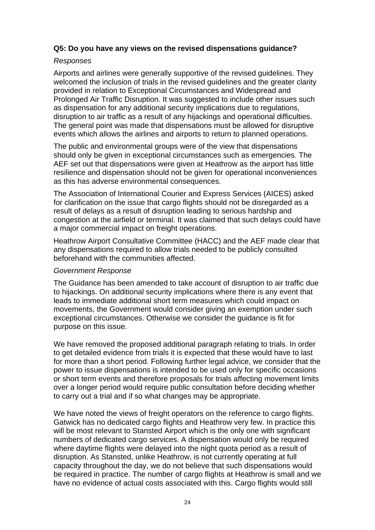## **Q5: Do you have any views on the revised dispensations guidance?**

#### *Responses*

Airports and airlines were generally supportive of the revised guidelines. They welcomed the inclusion of trials in the revised guidelines and the greater clarity provided in relation to Exceptional Circumstances and Widespread and Prolonged Air Traffic Disruption. It was suggested to include other issues such as dispensation for any additional security implications due to regulations, disruption to air traffic as a result of any hijackings and operational difficulties. The general point was made that dispensations must be allowed for disruptive

events which allows the airlines and airports to return to planned operations.<br>The public and environmental groups were of the view that dispensations should only be given in exceptional circumstances such as emergencies. The AEF set out that dispensations were given at Heathrow as the airport has little resilience and dispensation should not be given for operational inconveniences as this has adverse environmental consequences.

 The Association of International Courier and Express Services (AICES) asked for clarification on the issue that cargo flights should not be disregarded as a result of delays as a result of disruption leading to serious hardship and congestion at the airfield or terminal. It was claimed that such delays could have a major commercial impact on freight operations.

Heathrow Airport Consultative Committee (HACC) and the AEF made clear that any dispensations required to allow trials needed to be publicly consulted beforehand with the communities affected.

#### *Government Response*

The Guidance has been amended to take account of disruption to air traffic due to hijackings. On additional security implications where there is any event that leads to immediate additional short term measures which could impact on movements, the Government would consider giving an exemption under such exceptional circumstances. Otherwise we consider the guidance is fit for purpose on this issue.

We have removed the proposed additional paragraph relating to trials. In order to get detailed evidence from trials it is expected that these would have to last for more than a short period. Following further legal advice, we consider that the power to issue dispensations is intended to be used only for specific occasions or short term events and therefore proposals for trials affecting movement limits over a longer period would require public consultation before deciding whether to carry out a trial and if so what changes may be appropriate.

We have noted the views of freight operators on the reference to cargo flights. Gatwick has no dedicated cargo flights and Heathrow very few. In practice this will be most relevant to Stansted Airport which is the only one with significant numbers of dedicated cargo services. A dispensation would only be required where daytime flights were delayed into the night quota period as a result of disruption. As Stansted, unlike Heathrow, is not currently operating at full capacity throughout the day, we do not believe that such dispensations would be required in practice. The number of cargo flights at Heathrow is small and we have no evidence of actual costs associated with this. Cargo flights would still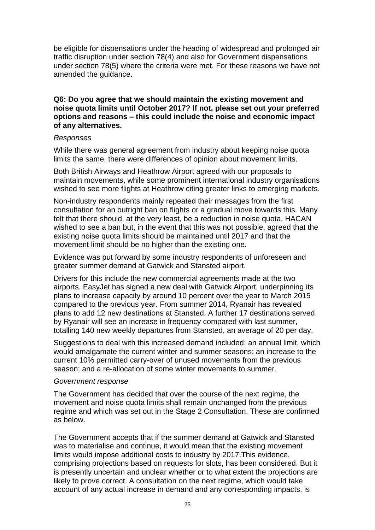be eligible for dispensations under the heading of widespread and prolonged air traffic disruption under section 78(4) and also for Government dispensations under section 78(5) where the criteria were met. For these reasons we have not amended the guidance.

#### **Q6: Do you agree that we should maintain the existing movement and noise quota limits until October 2017? If not, please set out your preferred options and reasons – this could include the noise and economic impact of any alternatives.**

#### *Responses*

While there was general agreement from industry about keeping noise quota limits the same, there were differences of opinion about movement limits.

Both British Airways and Heathrow Airport agreed with our proposals to maintain movements, while some prominent international industry organisations wished to see more flights at Heathrow citing greater links to emerging markets.

Non-industry respondents mainly repeated their messages from the first consultation for an outright ban on flights or a gradual move towards this. Many felt that there should, at the very least, be a reduction in noise quota. HACAN wished to see a ban but, in the event that this was not possible, agreed that the existing noise quota limits should be maintained until 2017 and that the movement limit should be no higher than the existing one.

Evidence was put forward by some industry respondents of unforeseen and greater summer demand at Gatwick and Stansted airport.

 Drivers for this include the new commercial agreements made at the two airports. EasyJet has signed a new deal with Gatwick Airport, underpinning its plans to increase capacity by around 10 percent over the year to March 2015 compared to the previous year. From summer 2014, Ryanair has revealed plans to add 12 new destinations at Stansted. A further 17 destinations served by Ryanair will see an increase in frequency compared with last summer, totalling 140 new weekly departures from Stansted, an average of 20 per day.

Suggestions to deal with this increased demand included: an annual limit, which would amalgamate the current winter and summer seasons; an increase to the current 10% permitted carry-over of unused movements from the previous season; and a re-allocation of some winter movements to summer.

#### *Government response*

The Government has decided that over the course of the next regime, the movement and noise quota limits shall remain unchanged from the previous regime and which was set out in the Stage 2 Consultation. These are confirmed as below.

The Government accepts that if the summer demand at Gatwick and Stansted was to materialise and continue, it would mean that the existing movement limits would impose additional costs to industry by 2017.This evidence, comprising projections based on requests for slots, has been considered. But it is presently uncertain and unclear whether or to what extent the projections are likely to prove correct. A consultation on the next regime, which would take account of any actual increase in demand and any corresponding impacts, is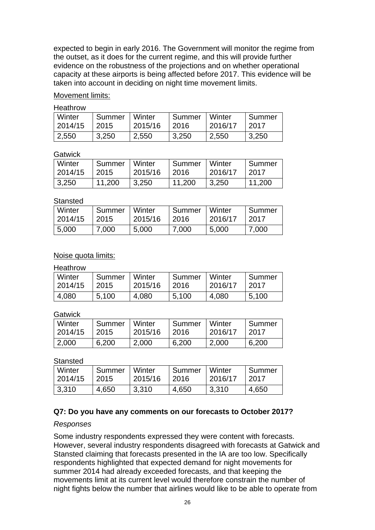expected to begin in early 2016. The Government will monitor the regime from the outset, as it does for the current regime, and this will provide further evidence on the robustness of the projections and on whether operational capacity at these airports is being affected before 2017. This evidence will be taken into account in deciding on night time movement limits.

Movement limits:

Heathrow

| Winter  | Summer | Winter  | Summer   Winter | 2016/17 | Summer |
|---------|--------|---------|-----------------|---------|--------|
| 2014/15 | 2015   | 2015/16 | 2016            |         | 2017   |
| 2,550   | 3,250  | 2,550   | 3,250           | 2,550   | 3,250  |

**Gatwick** 

| Winter  | l Summer | Winter  | <b>Summer</b> | Winter  | ⊪Summer |
|---------|----------|---------|---------------|---------|---------|
| 2014/15 | 2015     | 2015/16 | $\sqrt{2016}$ | 2016/17 | -2017   |
| 3,250   | 11.200   | 3,250   | 11.200        | 3.250   | 11,200  |

#### **Stansted**

| Winter  | l Summer | Winter  | Summer | Winter  | Summer |
|---------|----------|---------|--------|---------|--------|
| 2014/15 | 2015     | 2015/16 | 12016  | 2016/17 | 2017   |
| 5,000   | 7,000    | 5,000   | 7,000  | 5,000   | 7,000  |

## Noise quota limits:

Heathrow

| Winter  | Summer | Winter  | Summer   Winter | 2016/17 | Summer |
|---------|--------|---------|-----------------|---------|--------|
| 2014/15 | 2015   | 2015/16 | 2016            |         | 2017   |
| 4,080   | 5,100  | 4,080   | 5,100           | 4,080   | 5,100  |

**Gatwick** 

| Winter  | Summer | <b>Winter</b> | Summer | Winter  | Summer |
|---------|--------|---------------|--------|---------|--------|
| 2014/15 | 2015   | 2015/16       | 2016   | 2016/17 | 2017   |
| 2,000   | 6.200  | 2,000         | 6,200  | 2,000   | 6,200  |

Stansted

| Winter  | Summer | Winter  | Summer | ∣ Winter | Summer |
|---------|--------|---------|--------|----------|--------|
| 2014/15 | 2015   | 2015/16 | 2016   | 2016/17  | 2017   |
| 3,310   | 4,650  | 3,310   | 4,650  | 3,310    | 4,650  |

# **Q7: Do you have any comments on our forecasts to October 2017?**

#### *Responses*

Some industry respondents expressed they were content with forecasts. However, several industry respondents disagreed with forecasts at Gatwick and Stansted claiming that forecasts presented in the IA are too low. Specifically respondents highlighted that expected demand for night movements for summer 2014 had already exceeded forecasts, and that keeping the movements limit at its current level would therefore constrain the number of night fights below the number that airlines would like to be able to operate from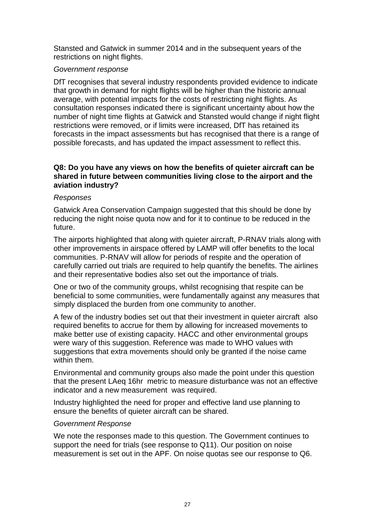restrictions on night flights. Stansted and Gatwick in summer 2014 and in the subsequent years of the

#### *Government response*

DfT recognises that several industry respondents provided evidence to indicate that growth in demand for night flights will be higher than the historic annual average, with potential impacts for the costs of restricting night flights. As consultation responses indicated there is significant uncertainty about how the number of night time flights at Gatwick and Stansted would change if night flight restrictions were removed, or if limits were increased, DfT has retained its forecasts in the impact assessments but has recognised that there is a range of possible forecasts, and has updated the impact assessment to reflect this.

#### **Q8: Do you have any views on how the benefits of quieter aircraft can be shared in future between communities living close to the airport and the aviation industry?**

#### *Responses*

Gatwick Area Conservation Campaign suggested that this should be done by reducing the night noise quota now and for it to continue to be reduced in the future.

The airports highlighted that along with quieter aircraft, P-RNAV trials along with other improvements in airspace offered by LAMP will offer benefits to the local communities. P-RNAV will allow for periods of respite and the operation of carefully carried out trials are required to help quantify the benefits. The airlines and their representative bodies also set out the importance of trials.

One or two of the community groups, whilst recognising that respite can be beneficial to some communities, were fundamentally against any measures that simply displaced the burden from one community to another.

 make better use of existing capacity. HACC and other environmental groups A few of the industry bodies set out that their investment in quieter aircraft also required benefits to accrue for them by allowing for increased movements to were wary of this suggestion. Reference was made to WHO values with suggestions that extra movements should only be granted if the noise came within them.

Environmental and community groups also made the point under this question that the present LAeq 16hr metric to measure disturbance was not an effective indicator and a new measurement was required.

Industry highlighted the need for proper and effective land use planning to ensure the benefits of quieter aircraft can be shared.

#### *Government Response*

We note the responses made to this question. The Government continues to support the need for trials (see response to Q11). Our position on noise measurement is set out in the APF. On noise quotas see our response to Q6.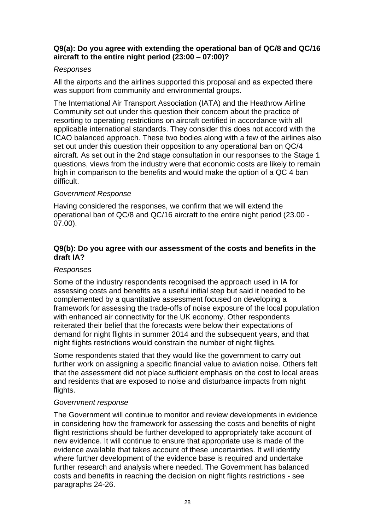#### **aircraft to the entire night period (23:00 – 07:00)? Q9(a): Do you agree with extending the operational ban of QC/8 and QC/16**

## *Responses*

All the airports and the airlines supported this proposal and as expected there was support from community and environmental groups.

 aircraft. As set out in the 2nd stage consultation in our responses to the Stage 1 The International Air Transport Association (IATA) and the Heathrow Airline Community set out under this question their concern about the practice of resorting to operating restrictions on aircraft certified in accordance with all applicable international standards. They consider this does not accord with the ICAO balanced approach. These two bodies along with a few of the airlines also set out under this question their opposition to any operational ban on QC/4 questions, views from the industry were that economic costs are likely to remain high in comparison to the benefits and would make the option of a QC 4 ban difficult.

## *Government Response*

 07.00). Having considered the responses, we confirm that we will extend the operational ban of QC/8 and QC/16 aircraft to the entire night period (23.00 -

## **draft IA? Q9(b): Do you agree with our assessment of the costs and benefits in the**

## *Responses*

Some of the industry respondents recognised the approach used in IA for assessing costs and benefits as a useful initial step but said it needed to be complemented by a quantitative assessment focused on developing a framework for assessing the trade-offs of noise exposure of the local population with enhanced air connectivity for the UK economy. Other respondents reiterated their belief that the forecasts were below their expectations of demand for night flights in summer 2014 and the subsequent years, and that night flights restrictions would constrain the number of night flights.

Some respondents stated that they would like the government to carry out further work on assigning a specific financial value to aviation noise. Others felt that the assessment did not place sufficient emphasis on the cost to local areas and residents that are exposed to noise and disturbance impacts from night flights.

#### *Government response*

 flight restrictions should be further developed to appropriately take account of evidence available that takes account of these uncertainties. It will identify costs and benefits in reaching the decision on night flights restrictions - see The Government will continue to monitor and review developments in evidence in considering how the framework for assessing the costs and benefits of night new evidence. It will continue to ensure that appropriate use is made of the where further development of the evidence base is required and undertake further research and analysis where needed. The Government has balanced paragraphs 24-26.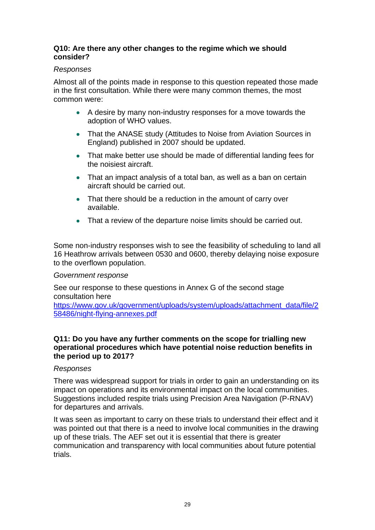## **Q10: Are there any other changes to the regime which we should consider?**

## *Responses*

Almost all of the points made in response to this question repeated those made in the first consultation. While there were many common themes, the most common were:

- A desire by many non-industry responses for a move towards the adoption of WHO values.
- That the ANASE study (Attitudes to Noise from Aviation Sources in England) published in 2007 should be updated.
- That make better use should be made of differential landing fees for the noisiest aircraft.
- That an impact analysis of a total ban, as well as a ban on certain aircraft should be carried out.
- That there should be a reduction in the amount of carry over available.
- That a review of the departure noise limits should be carried out.

Some non-industry responses wish to see the feasibility of scheduling to land all 16 Heathrow arrivals between 0530 and 0600, thereby delaying noise exposure to the overflown population.

#### *Government response*

See our response to these questions in Annex G of the second stage consultation here

[https://www.gov.uk/government/uploads/system/uploads/attachment\\_data/file/2](https://www.gov.uk/government/uploads/system/uploads/attachment_data/file/258486/night-flying-annexes.pdf)  [58486/night-flying-annexes.pdf](https://www.gov.uk/government/uploads/system/uploads/attachment_data/file/258486/night-flying-annexes.pdf) 

#### **Q11: Do you have any further comments on the scope for trialling new operational procedures which have potential noise reduction benefits in the period up to 2017?**

#### *Responses*

 Suggestions included respite trials using Precision Area Navigation (P-RNAV) for departures and arrivals. There was widespread support for trials in order to gain an understanding on its impact on operations and its environmental impact on the local communities.

 It was seen as important to carry on these trials to understand their effect and it up of these trials. The AEF set out it is essential that there is greater communication and transparency with local communities about future potential was pointed out that there is a need to involve local communities in the drawing trials.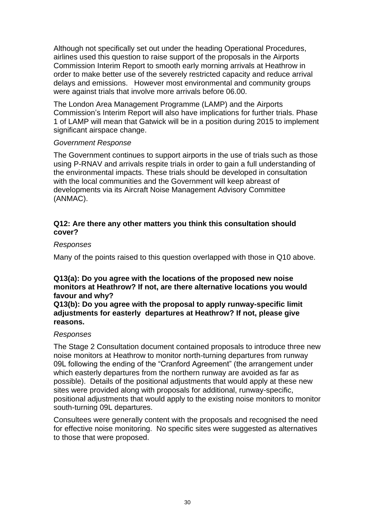Although not specifically set out under the heading Operational Procedures, airlines used this question to raise support of the proposals in the Airports Commission Interim Report to smooth early morning arrivals at Heathrow in order to make better use of the severely restricted capacity and reduce arrival delays and emissions. However most environmental and community groups were against trials that involve more arrivals before 06.00.

The London Area Management Programme (LAMP) and the Airports Commission's Interim Report will also have implications for further trials. Phase 1 of LAMP will mean that Gatwick will be in a position during 2015 to implement significant airspace change.

#### *Government Response*

 using P-RNAV and arrivals respite trials in order to gain a full understanding of developments via its Aircraft Noise Management Advisory Committee The Government continues to support airports in the use of trials such as those the environmental impacts. These trials should be developed in consultation with the local communities and the Government will keep abreast of (ANMAC).

#### **Q12: Are there any other matters you think this consultation should cover?**

#### *Responses*

Many of the points raised to this question overlapped with those in Q10 above.

## **Q13(a): Do you agree with the locations of the proposed new noise monitors at Heathrow? If not, are there alternative locations you would favour and why?**

 **adjustments for easterly departures at Heathrow? If not, please give Q13(b): Do you agree with the proposal to apply runway-specific limit reasons.** 

#### *Responses*

The Stage 2 Consultation document contained proposals to introduce three new noise monitors at Heathrow to monitor north-turning departures from runway 09L following the ending of the "Cranford Agreement" (the arrangement under which easterly departures from the northern runway are avoided as far as possible). Details of the positional adjustments that would apply at these new sites were provided along with proposals for additional, runway-specific, positional adjustments that would apply to the existing noise monitors to monitor south-turning 09L departures.

Consultees were generally content with the proposals and recognised the need for effective noise monitoring. No specific sites were suggested as alternatives to those that were proposed.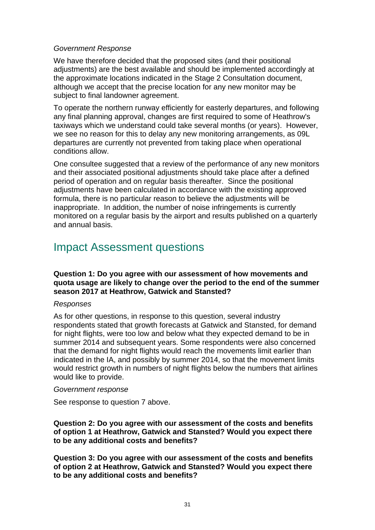#### <span id="page-30-0"></span>*Government Response*

We have therefore decided that the proposed sites (and their positional adjustments) are the best available and should be implemented accordingly at the approximate locations indicated in the Stage 2 Consultation document, although we accept that the precise location for any new monitor may be subject to final landowner agreement.

To operate the northern runway efficiently for easterly departures, and following any final planning approval, changes are first required to some of Heathrow's taxiways which we understand could take several months (or years). However, we see no reason for this to delay any new monitoring arrangements, as 09L departures are currently not prevented from taking place when operational conditions allow.

One consultee suggested that a review of the performance of any new monitors and their associated positional adjustments should take place after a defined period of operation and on regular basis thereafter. Since the positional adjustments have been calculated in accordance with the existing approved formula, there is no particular reason to believe the adjustments will be inappropriate. In addition, the number of noise infringements is currently monitored on a regular basis by the airport and results published on a quarterly and annual basis.

# Impact Assessment questions

#### **Question 1: Do you agree with our assessment of how movements and quota usage are likely to change over the period to the end of the summer season 2017 at Heathrow, Gatwick and Stansted?**

#### *Responses*

 for night flights, were too low and below what they expected demand to be in As for other questions, in response to this question, several industry respondents stated that growth forecasts at Gatwick and Stansted, for demand summer 2014 and subsequent years. Some respondents were also concerned that the demand for night flights would reach the movements limit earlier than indicated in the IA, and possibly by summer 2014, so that the movement limits would restrict growth in numbers of night flights below the numbers that airlines would like to provide.

#### *Government response*

See response to question 7 above.

**Question 2: Do you agree with our assessment of the costs and benefits of option 1 at Heathrow, Gatwick and Stansted? Would you expect there to be any additional costs and benefits?** 

**Question 3: Do you agree with our assessment of the costs and benefits of option 2 at Heathrow, Gatwick and Stansted? Would you expect there to be any additional costs and benefits?**